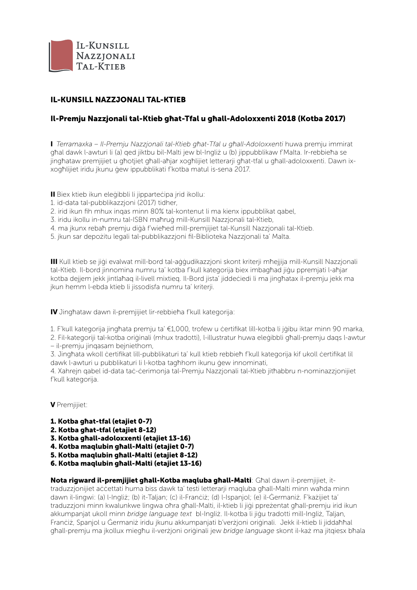

# IL-KUNSILL NAZZJONALI TAL-KTIEB

## Il-Premju Nazzjonali tal-Ktieb għat-Tfal u għall-Adoloxxenti 2018 (Kotba 2017)

I *Terramaxka – Il-Premju Nazzjonali tal-Ktieb għat-Tfal u għall-Adoloxxenti* huwa premju immirat għal dawk l-awturi li (a) ged jiktbu bil-Malti jew bl-Ingliż u (b) jippubblikaw f'Malta. Ir-rebbieħa se jingħataw premjijiet u għotjiet għall-aħjar xogħlijiet letterarji għat-tfal u għall-adoloxxenti. Dawn ixxogħlijiet iridu jkunu ġew ippubblikati f'kotba matul is-sena 2017.

II Biex ktieb ikun eleġibbli li jipparteċipa jrid ikollu:

- 1. id-data tal-pubblikazzjoni (2017) tidher,
- 2. irid ikun fih mhux inqas minn 80% tal-kontenut li ma kienx ippubblikat qabel,
- 3. iridu ikollu in-numru tal-ISBN maħruġ mill-Kunsill Nazzjonali tal-Ktieb,
- 4. ma jkunx rebaħ premju diġà f'wieħed mill-premjijiet tal-Kunsill Nazzjonali tal-Ktieb.
- 5. jkun sar depożitu legali tal-pubblikazzjoni fil-Biblioteka Nazzjonali ta' Malta.

III Kull ktieb se jiġi evalwat mill-bord tal-aġġudikazzjoni skont kriterji mħejjija mill-Kunsill Nazzjonali tal-Ktieb. Il-bord jinnomina numru ta' kotba f'kull kategorija biex imbagħad jiġu ppremjati l-aħjar kotba dejjem jekk jintlaħaq il-livell mixtieq. Il-Bord jista' jiddeċiedi li ma jingħatax il-premju jekk ma jkun hemm l-ebda ktieb li jissodisfa numru ta' kriterji.

IV Jingħataw dawn il-premjijiet lir-rebbieħa f'kull kategorija:

1. F'kull kategorija jingħata premju ta' €1,000, trofew u ċertifikat lill-kotba li jġibu iktar minn 90 marka,

2. Fil-kategoriji tal-kotba oriġinali (mhux tradotti), l-illustratur huwa eleġibbli għall-premju daqs l-awtur – il-premju jinqasam bejniethom,

3. Jingħata wkoll ċertifikat lill-pubblikaturi ta' kull ktieb rebbieħ f'kull kategorija kif ukoll ċertifikat lil dawk l-awturi u pubblikaturi li l-kotba tagħhom ikunu ġew innominati,

4. Xahrejn qabel id-data taċ-ċerimonja tal-Premju Nazzjonali tal-Ktieb jitħabbru n-nominazzjonijiet f'kull kategorija.

V Premjijiet:

- 1. Kotba għat-tfal (etajiet 0-7)
- 2. Kotba għat-tfal (etajiet 8-12)
- 3. Kotba għall-adoloxxenti (etajiet 13-16)
- 4. Kotba maqlubin għall-Malti (etajiet 0-7)
- 5. Kotba maqlubin għall-Malti (etajiet 8-12)
- 6. Kotba maqlubin għall-Malti (etajiet 13-16)

Nota rigward il-premjijiet għall-Kotba magluba għall-Malti: Għal dawn il-premijijet, ittraduzzjonijiet aċċettati huma biss dawk ta' testi letterarji maqluba għall-Malti minn waħda minn dawn il-lingwi: (a) l-Ingliż; (b) it-Taljan; (c) il-Franċiż; (d) l-Ispanjol; (e) il-Ġermaniż. F'każijiet ta' traduzzjoni minn kwalunkwe lingwa oħra għall-Malti, il-ktieb li jiġi ppreżentat għall-premju irid ikun akkumpanjat ukoll minn *bridge language text* bl-Ingliż. Il-kotba li jiġu tradotti mill-Ingliż, Taljan, Franċiż, Spanjol u Ġermaniż iridu jkunu akkumpanjati b'verżjoni oriġinali. Jekk il-ktieb li jiddaħħal għall-premju ma jkollux miegħu il-verżjoni oriġinali jew *bridge language* skont il-każ ma jitqiesx bħala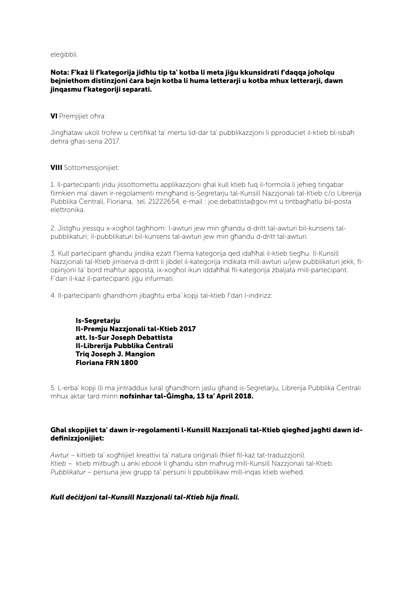eleġibbli.

### Nota: F'każ li f'kategorija jidħlu tip ta' kotba li meta jiġu kkunsidrati f'daqqa joħolqu bejniethom distinzjoni ċara bejn kotba li huma letterarji u kotba mhux letterarji, dawn jinqasmu f'kategoriji separati.

VI Premjijiet oħra:

Jinghataw ukoll trofew u certifikat ta' mertu lid-dar ta' pubblikazzjoni li pproduciet il-ktieb bl-isbah dehra għas-sena 2017.

### VIII Sottomessjonijiet:

1. Il-parteċipanti jridu jissottomettu applikazzjoni għal kull ktieb fuq il-formola li jeħieġ tinġabar flimkien ma' dawn ir-regolamenti mingħand is-Segretarju tal-Kunsill Nazzjonali tal-Ktieb c/o Librerija Pubblika Ċentrali, Floriana, tel. 21222654, e-mail : joe.debattista@gov.mt u tintbagħatlu bil-posta elettronika.

2. Jistgħu jressqu x-xogħol tagħhom: l-awturi jew min għandu d-dritt tal-awturi bil-kunsens talpubblikaturi; il-pubblikaturi bil-kunsens tal-awturi jew min għandu d-dritt tal-awturi.

3. Kull parteċipant għandu jindika eżatt f'liema kategorija qed idaħħal il-ktieb tiegħu. Il-Kunsill Nazzjonali tal-Ktieb jirriserva d-dritt li jibdel il-kategorija indikata mill-awturi u/jew pubblikaturi jekk, flopinjoni ta' bord maħtur apposta, ix-xogħol ikun iddaħħal fil-kategorija żbaljata mill-parteċipant. F'dan il-każ il-parteċipanti jiġu infurmati.

4. Il-parteċipanti għandhom jibagħtu erba' kopji tal-ktieb f'dan l-indirizz:

Is-Segretarju Il-Premju Nazzjonali tal-Ktieb 2017 att. Is-Sur Joseph Debattista Il-Librerija Pubblika Ċentrali Triq Joseph J. Mangion Floriana FRN 1800

5. L-erba' kopji (li ma jintraddux lura) għandhom jaslu għand is-Segretarju, Librerija Pubblika Ċentrali mhux aktar tard minn nofsinhar tal-Ġimgħa, 13 ta' April 2018.

### Għal skopijiet ta' dawn ir-regolamenti l-Kunsill Nazzjonali tal-Ktieb qiegħed jagħti dawn iddefinizzjonijiet:

*Awtur* – kittieb ta' xogħlijiet kreattivi ta' natura oriġinali (ħlief fil-każ tat-traduzzjoni). *Ktieb* – ktieb mitbugħ u anki *ebook* li għandu isbn maħruġ mill-Kunsill Nazzjonali tal-Ktieb. *Pubblikatur* – persuna jew grupp ta' persuni li ppubblikaw mill-inqas ktieb wieħed.

## *Kull deċiżjoni tal-Kunsill Nazzjonali tal-Ktieb hija finali.*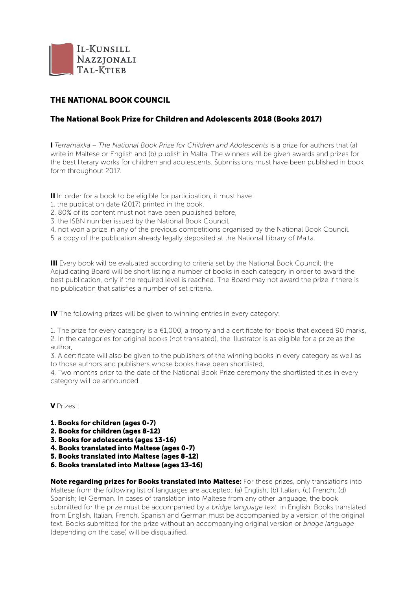

# THE NATIONAL BOOK COUNCIL

## The National Book Prize for Children and Adolescents 2018 (Books 2017)

I *Terramaxka – The National Book Prize for Children and Adolescents* is a prize for authors that (a) write in Maltese or English and (b) publish in Malta. The winners will be given awards and prizes for the best literary works for children and adolescents. Submissions must have been published in book form throughout 2017.

II In order for a book to be eligible for participation, it must have:

- 1. the publication date (2017) printed in the book,
- 2. 80% of its content must not have been published before
- 3. the ISBN number issued by the National Book Council,
- 4. not won a prize in any of the previous competitions organised by the National Book Council.
- 5. a copy of the publication already legally deposited at the National Library of Malta.

III Every book will be evaluated according to criteria set by the National Book Council; the Adjudicating Board will be short listing a number of books in each category in order to award the best publication, only if the required level is reached. The Board may not award the prize if there is no publication that satisfies a number of set criteria.

IV The following prizes will be given to winning entries in every category:

1. The prize for every category is a  $\epsilon$ 1,000, a trophy and a certificate for books that exceed 90 marks, 2. In the categories for original books (not translated), the illustrator is as eligible for a prize as the author,

3. A certificate will also be given to the publishers of the winning books in every category as well as to those authors and publishers whose books have been shortlisted,

4. Two months prior to the date of the National Book Prize ceremony the shortlisted titles in every category will be announced.

V Prizes:

- 1. Books for children (ages 0-7)
- 2. Books for children (ages 8-12)
- 3. Books for adolescents (ages 13-16)
- 4. Books translated into Maltese (ages 0-7)
- 5. Books translated into Maltese (ages 8-12)
- 6. Books translated into Maltese (ages 13-16)

Note regarding prizes for Books translated into Maltese: For these prizes, only translations into Maltese from the following list of languages are accepted: (a) English; (b) Italian; (c) French; (d) Spanish; (e) German. In cases of translation into Maltese from any other language, the book submitted for the prize must be accompanied by a *bridge language text* in English. Books translated from English, Italian, French, Spanish and German must be accompanied by a version of the original text. Books submitted for the prize without an accompanying original version or *bridge language*  (depending on the case) will be disqualified.